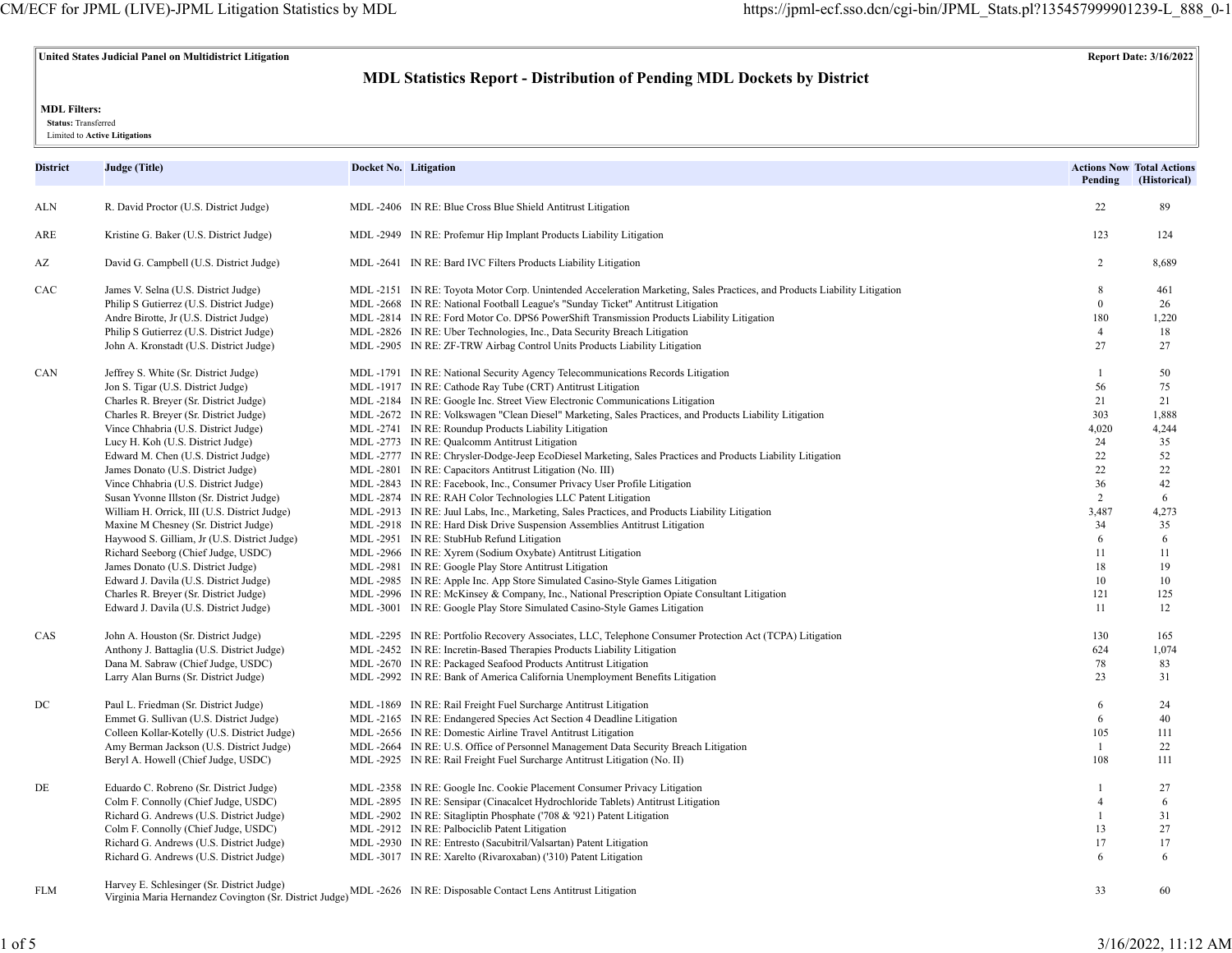## **United States Judicial Panel on Multidistrict Litigation Report Date: 3/16/2022**

# **MDL Statistics Report - Distribution of Pending MDL Dockets by District**

### **MDL Filters:**

 **Status:** Transferred

Limited to **Active Litigations**

| District | Judge (Title)                                | Docket No. Litigation                                                                                                    | Pending        | <b>Actions Now Total Actions</b><br>(Historical) |
|----------|----------------------------------------------|--------------------------------------------------------------------------------------------------------------------------|----------------|--------------------------------------------------|
| ALN      | R. David Proctor (U.S. District Judge)       | MDL -2406 IN RE: Blue Cross Blue Shield Antitrust Litigation                                                             | 22             | 89                                               |
| ARE      | Kristine G. Baker (U.S. District Judge)      | MDL -2949 IN RE: Profemur Hip Implant Products Liability Litigation                                                      | 123            | 124                                              |
| AZ       | David G. Campbell (U.S. District Judge)      | MDL-2641 IN RE: Bard IVC Filters Products Liability Litigation                                                           | $\overline{2}$ | 8,689                                            |
| CAC      | James V. Selna (U.S. District Judge)         | MDL-2151 IN RE: Toyota Motor Corp. Unintended Acceleration Marketing, Sales Practices, and Products Liability Litigation | 8              | 461                                              |
|          | Philip S Gutierrez (U.S. District Judge)     | MDL -2668 IN RE: National Football League's "Sunday Ticket" Antitrust Litigation                                         | $\mathbf{0}$   | 26                                               |
|          | Andre Birotte, Jr (U.S. District Judge)      | MDL-2814 IN RE: Ford Motor Co. DPS6 PowerShift Transmission Products Liability Litigation                                | 180            | 1,220                                            |
|          | Philip S Gutierrez (U.S. District Judge)     | MDL -2826 IN RE: Uber Technologies, Inc., Data Security Breach Litigation                                                | $\overline{4}$ | 18                                               |
|          | John A. Kronstadt (U.S. District Judge)      | MDL -2905 IN RE: ZF-TRW Airbag Control Units Products Liability Litigation                                               | 27             | 27                                               |
| CAN      | Jeffrey S. White (Sr. District Judge)        | MDL-1791 IN RE: National Security Agency Telecommunications Records Litigation                                           | $\overline{1}$ | 50                                               |
|          | Jon S. Tigar (U.S. District Judge)           | MDL-1917 IN RE: Cathode Ray Tube (CRT) Antitrust Litigation                                                              | 56             | 75                                               |
|          | Charles R. Breyer (Sr. District Judge)       | MDL-2184 IN RE: Google Inc. Street View Electronic Communications Litigation                                             | 21             | 21                                               |
|          | Charles R. Breyer (Sr. District Judge)       | MDL-2672 IN RE: Volkswagen "Clean Diesel" Marketing, Sales Practices, and Products Liability Litigation                  | 303            | 1,888                                            |
|          | Vince Chhabria (U.S. District Judge)         | MDL-2741 IN RE: Roundup Products Liability Litigation                                                                    | 4,020          | 4,244                                            |
|          | Lucy H. Koh (U.S. District Judge)            | MDL -2773 IN RE: Qualcomm Antitrust Litigation                                                                           | 24             | 35                                               |
|          | Edward M. Chen (U.S. District Judge)         | MDL-2777 IN RE: Chrysler-Dodge-Jeep EcoDiesel Marketing, Sales Practices and Products Liability Litigation               | 22             | 52                                               |
|          | James Donato (U.S. District Judge)           | MDL -2801 IN RE: Capacitors Antitrust Litigation (No. III)                                                               | 22             | 22                                               |
|          | Vince Chhabria (U.S. District Judge)         | MDL -2843 IN RE: Facebook, Inc., Consumer Privacy User Profile Litigation                                                | 36             | 42                                               |
|          | Susan Yvonne Illston (Sr. District Judge)    | MDL -2874 IN RE: RAH Color Technologies LLC Patent Litigation                                                            | 2              | 6                                                |
|          | William H. Orrick, III (U.S. District Judge) | MDL-2913 IN RE: Juul Labs, Inc., Marketing, Sales Practices, and Products Liability Litigation                           | 3,487          | 4,273                                            |
|          | Maxine M Chesney (Sr. District Judge)        | MDL -2918 IN RE: Hard Disk Drive Suspension Assemblies Antitrust Litigation                                              | 34             | 35                                               |
|          | Haywood S. Gilliam, Jr (U.S. District Judge) | MDL-2951 IN RE: StubHub Refund Litigation                                                                                | 6              | 6                                                |
|          | Richard Seeborg (Chief Judge, USDC)          | MDL -2966 IN RE: Xyrem (Sodium Oxybate) Antitrust Litigation                                                             | 11             | 11                                               |
|          | James Donato (U.S. District Judge)           | MDL -2981 IN RE: Google Play Store Antitrust Litigation                                                                  | 18             | 19                                               |
|          | Edward J. Davila (U.S. District Judge)       | MDL-2985 IN RE: Apple Inc. App Store Simulated Casino-Style Games Litigation                                             | 10             | 10                                               |
|          | Charles R. Breyer (Sr. District Judge)       | MDL-2996 IN RE: McKinsey & Company, Inc., National Prescription Opiate Consultant Litigation                             | 121            | 125                                              |
|          | Edward J. Davila (U.S. District Judge)       | MDL-3001 IN RE: Google Play Store Simulated Casino-Style Games Litigation                                                | 11             | 12                                               |
| CAS      | John A. Houston (Sr. District Judge)         | MDL-2295 IN RE: Portfolio Recovery Associates, LLC, Telephone Consumer Protection Act (TCPA) Litigation                  | 130            | 165                                              |
|          | Anthony J. Battaglia (U.S. District Judge)   | MDL-2452 IN RE: Incretin-Based Therapies Products Liability Litigation                                                   | 624            | 1,074                                            |
|          | Dana M. Sabraw (Chief Judge, USDC)           | MDL -2670 IN RE: Packaged Seafood Products Antitrust Litigation                                                          | 78             | 83                                               |
|          | Larry Alan Burns (Sr. District Judge)        | MDL-2992 IN RE: Bank of America California Unemployment Benefits Litigation                                              | 23             | 31                                               |
| DC       | Paul L. Friedman (Sr. District Judge)        | MDL -1869 IN RE: Rail Freight Fuel Surcharge Antitrust Litigation                                                        | 6              | 24                                               |
|          | Emmet G. Sullivan (U.S. District Judge)      | MDL-2165 IN RE: Endangered Species Act Section 4 Deadline Litigation                                                     | 6              | 40                                               |
|          | Colleen Kollar-Kotelly (U.S. District Judge) | MDL -2656 IN RE: Domestic Airline Travel Antitrust Litigation                                                            | 105            | 111                                              |
|          | Amy Berman Jackson (U.S. District Judge)     | MDL -2664 IN RE: U.S. Office of Personnel Management Data Security Breach Litigation                                     | $\mathbf{1}$   | 22                                               |
|          | Beryl A. Howell (Chief Judge, USDC)          | MDL-2925 IN RE: Rail Freight Fuel Surcharge Antitrust Litigation (No. II)                                                | 108            | 111                                              |
| DE       | Eduardo C. Robreno (Sr. District Judge)      | MDL -2358 IN RE: Google Inc. Cookie Placement Consumer Privacy Litigation                                                | $\overline{1}$ | 27                                               |
|          | Colm F. Connolly (Chief Judge, USDC)         | MDL-2895 IN RE: Sensipar (Cinacalcet Hydrochloride Tablets) Antitrust Litigation                                         | $\overline{4}$ | 6                                                |
|          | Richard G. Andrews (U.S. District Judge)     | MDL-2902 IN RE: Sitagliptin Phosphate ('708 & '921) Patent Litigation                                                    | $\overline{1}$ | 31                                               |
|          | Colm F. Connolly (Chief Judge, USDC)         | MDL-2912 IN RE: Palbociclib Patent Litigation                                                                            | 13             | 27                                               |
|          | Richard G. Andrews (U.S. District Judge)     | MDL -2930 IN RE: Entresto (Sacubitril/Valsartan) Patent Litigation                                                       | 17             | 17                                               |
|          | Richard G. Andrews (U.S. District Judge)     | MDL-3017 IN RE: Xarelto (Rivaroxaban) ('310) Patent Litigation                                                           | 6              | 6                                                |
| FLM      | Harvey E. Schlesinger (Sr. District Judge)   | Virginia Maria Hernandez Covington (Sr. District Judge) MDL -2626 IN RE: Disposable Contact Lens Antitrust Litigation    | 33             | 60                                               |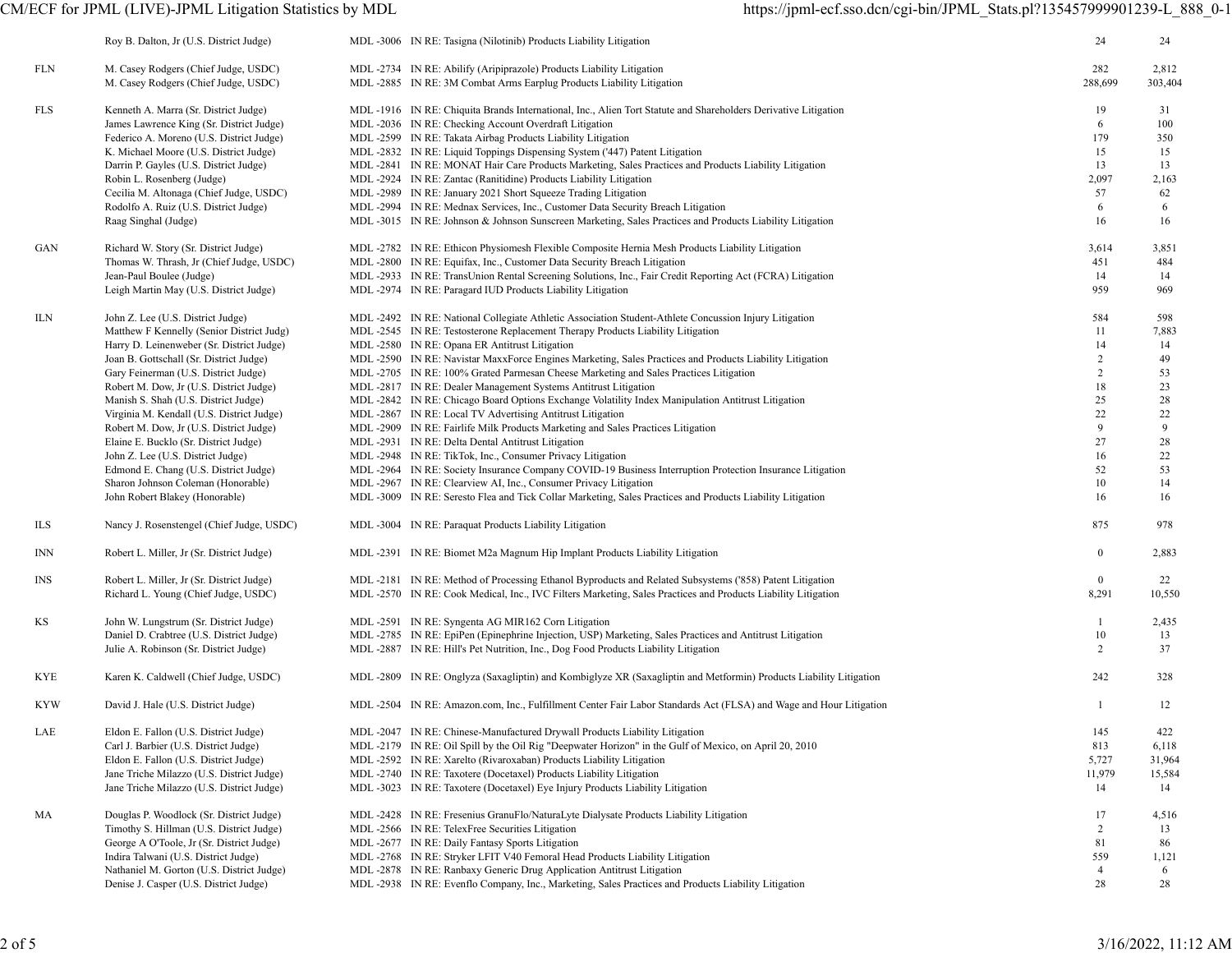|     | Roy B. Dalton, Jr (U.S. District Judge)   | MDL -3006 IN RE: Tasigna (Nilotinib) Products Liability Litigation                                                | 24               | 24      |
|-----|-------------------------------------------|-------------------------------------------------------------------------------------------------------------------|------------------|---------|
| FLN | M. Casey Rodgers (Chief Judge, USDC)      | MDL -2734 IN RE: Abilify (Aripiprazole) Products Liability Litigation                                             | 282              | 2,812   |
|     | M. Casey Rodgers (Chief Judge, USDC)      | MDL -2885 IN RE: 3M Combat Arms Earplug Products Liability Litigation                                             | 288,699          | 303,404 |
| FLS | Kenneth A. Marra (Sr. District Judge)     | MDL -1916 IN RE: Chiquita Brands International, Inc., Alien Tort Statute and Shareholders Derivative Litigation   | 19               | 31      |
|     | James Lawrence King (Sr. District Judge)  | MDL -2036 IN RE: Checking Account Overdraft Litigation                                                            | 6                | 100     |
|     | Federico A. Moreno (U.S. District Judge)  | MDL-2599 IN RE: Takata Airbag Products Liability Litigation                                                       | 179              | 350     |
|     | K. Michael Moore (U.S. District Judge)    | MDL -2832 IN RE: Liquid Toppings Dispensing System ('447) Patent Litigation                                       | 15               | 15      |
|     |                                           |                                                                                                                   | 13               |         |
|     | Darrin P. Gayles (U.S. District Judge)    | MDL-2841 IN RE: MONAT Hair Care Products Marketing, Sales Practices and Products Liability Litigation             |                  | 13      |
|     | Robin L. Rosenberg (Judge)                | MDL -2924 IN RE: Zantac (Ranitidine) Products Liability Litigation                                                | 2,097            | 2,163   |
|     | Cecilia M. Altonaga (Chief Judge, USDC)   | MDL -2989 IN RE: January 2021 Short Squeeze Trading Litigation                                                    | 57               | 62      |
|     | Rodolfo A. Ruiz (U.S. District Judge)     | MDL-2994 IN RE: Mednax Services, Inc., Customer Data Security Breach Litigation                                   | 6                | 6       |
|     | Raag Singhal (Judge)                      | MDL-3015 IN RE: Johnson & Johnson Sunscreen Marketing, Sales Practices and Products Liability Litigation          | 16               | 16      |
| GAN | Richard W. Story (Sr. District Judge)     | MDL-2782 IN RE: Ethicon Physiomesh Flexible Composite Hernia Mesh Products Liability Litigation                   | 3,614            | 3,851   |
|     | Thomas W. Thrash, Jr (Chief Judge, USDC)  | MDL -2800 IN RE: Equifax, Inc., Customer Data Security Breach Litigation                                          | 451              | 484     |
|     | Jean-Paul Boulee (Judge)                  | MDL -2933 IN RE: TransUnion Rental Screening Solutions, Inc., Fair Credit Reporting Act (FCRA) Litigation         | 14               | 14      |
|     | Leigh Martin May (U.S. District Judge)    | MDL -2974 IN RE: Paragard IUD Products Liability Litigation                                                       | 959              | 969     |
| ILN | John Z. Lee (U.S. District Judge)         | MDL-2492 IN RE: National Collegiate Athletic Association Student-Athlete Concussion Injury Litigation             | 584              | 598     |
|     | Matthew F Kennelly (Senior District Judg) | MDL-2545 IN RE: Testosterone Replacement Therapy Products Liability Litigation                                    | 11               | 7,883   |
|     | Harry D. Leinenweber (Sr. District Judge) | MDL -2580 IN RE: Opana ER Antitrust Litigation                                                                    | 14               | 14      |
|     | Joan B. Gottschall (Sr. District Judge)   | MDL-2590 IN RE: Navistar MaxxForce Engines Marketing, Sales Practices and Products Liability Litigation           | $\overline{c}$   | 49      |
|     | Gary Feinerman (U.S. District Judge)      | MDL-2705 IN RE: 100% Grated Parmesan Cheese Marketing and Sales Practices Litigation                              | $\overline{c}$   | 53      |
|     | Robert M. Dow, Jr (U.S. District Judge)   | MDL -2817 IN RE: Dealer Management Systems Antitrust Litigation                                                   | 18               | 23      |
|     | Manish S. Shah (U.S. District Judge)      | MDL-2842 IN RE: Chicago Board Options Exchange Volatility Index Manipulation Antitrust Litigation                 | 25               | 28      |
|     | Virginia M. Kendall (U.S. District Judge) | MDL -2867 IN RE: Local TV Advertising Antitrust Litigation                                                        | 22               | 22      |
|     | Robert M. Dow, Jr (U.S. District Judge)   | MDL -2909 IN RE: Fairlife Milk Products Marketing and Sales Practices Litigation                                  | 9                | 9       |
|     | Elaine E. Bucklo (Sr. District Judge)     | MDL -2931 IN RE: Delta Dental Antitrust Litigation                                                                | 27               | 28      |
|     | John Z. Lee (U.S. District Judge)         | MDL -2948 IN RE: TikTok, Inc., Consumer Privacy Litigation                                                        | 16               | 22      |
|     | Edmond E. Chang (U.S. District Judge)     | MDL-2964 IN RE: Society Insurance Company COVID-19 Business Interruption Protection Insurance Litigation          | 52               | 53      |
|     | Sharon Johnson Coleman (Honorable)        | MDL -2967 IN RE: Clearview AI, Inc., Consumer Privacy Litigation                                                  | 10               | 14      |
|     | John Robert Blakey (Honorable)            | MDL-3009 IN RE: Seresto Flea and Tick Collar Marketing, Sales Practices and Products Liability Litigation         | 16               | 16      |
|     |                                           |                                                                                                                   |                  |         |
| ILS | Nancy J. Rosenstengel (Chief Judge, USDC) | MDL-3004 IN RE: Paraquat Products Liability Litigation                                                            | 875              | 978     |
| INN | Robert L. Miller, Jr (Sr. District Judge) | MDL-2391 IN RE: Biomet M2a Magnum Hip Implant Products Liability Litigation                                       | $\boldsymbol{0}$ | 2,883   |
| INS | Robert L. Miller, Jr (Sr. District Judge) | MDL-2181 IN RE: Method of Processing Ethanol Byproducts and Related Subsystems ('858) Patent Litigation           | $\overline{0}$   | 22      |
|     | Richard L. Young (Chief Judge, USDC)      | MDL-2570 IN RE: Cook Medical, Inc., IVC Filters Marketing, Sales Practices and Products Liability Litigation      | 8,291            | 10,550  |
| KS  | John W. Lungstrum (Sr. District Judge)    | MDL-2591 IN RE: Syngenta AG MIR162 Corn Litigation                                                                | -1               | 2,435   |
|     | Daniel D. Crabtree (U.S. District Judge)  | MDL-2785 IN RE: EpiPen (Epinephrine Injection, USP) Marketing, Sales Practices and Antitrust Litigation           | 10               | 13      |
|     | Julie A. Robinson (Sr. District Judge)    | MDL -2887 IN RE: Hill's Pet Nutrition, Inc., Dog Food Products Liability Litigation                               | 2                | 37      |
| KYE | Karen K. Caldwell (Chief Judge, USDC)     | MDL-2809 IN RE: Onglyza (Saxagliptin) and Kombiglyze XR (Saxagliptin and Metformin) Products Liability Litigation | 242              | 328     |
| KYW | David J. Hale (U.S. District Judge)       | MDL-2504 IN RE: Amazon.com, Inc., Fulfillment Center Fair Labor Standards Act (FLSA) and Wage and Hour Litigation |                  | 12      |
| LAE | Eldon E. Fallon (U.S. District Judge)     | MDL -2047 IN RE: Chinese-Manufactured Drywall Products Liability Litigation                                       | 145              | 422     |
|     | Carl J. Barbier (U.S. District Judge)     | MDL-2179 IN RE: Oil Spill by the Oil Rig "Deepwater Horizon" in the Gulf of Mexico, on April 20, 2010             | 813              | 6,118   |
|     | Eldon E. Fallon (U.S. District Judge)     | MDL -2592 IN RE: Xarelto (Rivaroxaban) Products Liability Litigation                                              | 5,727            | 31,964  |
|     | Jane Triche Milazzo (U.S. District Judge) | MDL -2740 IN RE: Taxotere (Docetaxel) Products Liability Litigation                                               | 11,979           | 15,584  |
|     | Jane Triche Milazzo (U.S. District Judge) | MDL -3023 IN RE: Taxotere (Docetaxel) Eye Injury Products Liability Litigation                                    | 14               | 14      |
| МA  | Douglas P. Woodlock (Sr. District Judge)  | MDL-2428 IN RE: Fresenius GranuFlo/NaturaLyte Dialysate Products Liability Litigation                             | 17               | 4,516   |
|     | Timothy S. Hillman (U.S. District Judge)  | MDL-2566 IN RE: TelexFree Securities Litigation                                                                   | $\overline{2}$   | 13      |
|     | George A O'Toole, Jr (Sr. District Judge) | MDL -2677 IN RE: Daily Fantasy Sports Litigation                                                                  | 81               | 86      |
|     | Indira Talwani (U.S. District Judge)      | MDL -2768 IN RE: Stryker LFIT V40 Femoral Head Products Liability Litigation                                      | 559              | 1,121   |
|     | Nathaniel M. Gorton (U.S. District Judge) | MDL -2878 IN RE: Ranbaxy Generic Drug Application Antitrust Litigation                                            | $\overline{4}$   | 6       |
|     | Denise J. Casper (U.S. District Judge)    | MDL-2938 IN RE: Evenflo Company, Inc., Marketing, Sales Practices and Products Liability Litigation               | 28               | 28      |
|     |                                           |                                                                                                                   |                  |         |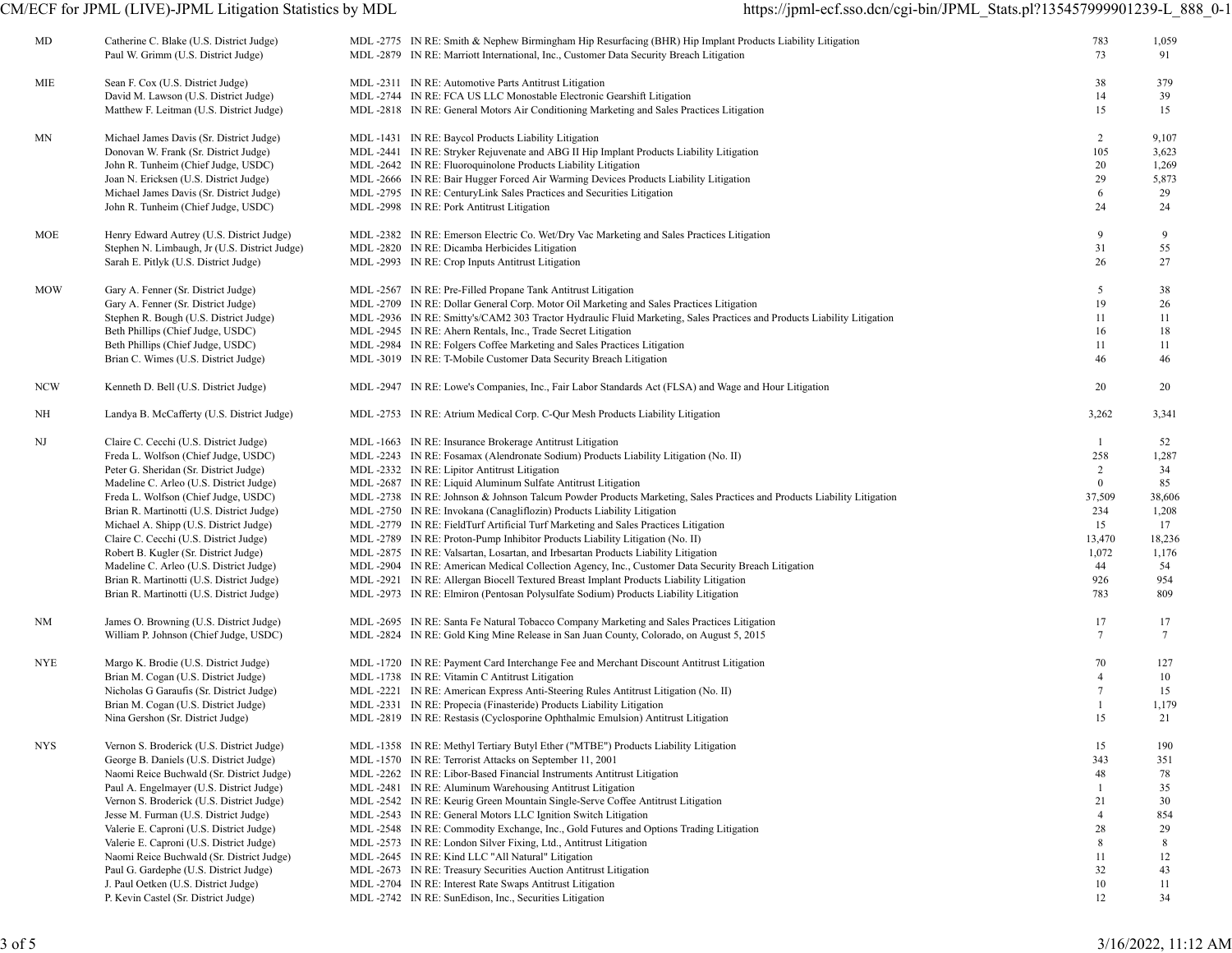| MD         | Catherine C. Blake (U.S. District Judge)<br>Paul W. Grimm (U.S. District Judge) | MDL-2775 IN RE: Smith & Nephew Birmingham Hip Resurfacing (BHR) Hip Implant Products Liability Litigation<br>MDL-2879 IN RE: Marriott International, Inc., Customer Data Security Breach Litigation | 783<br>73       | 1,059<br>91     |
|------------|---------------------------------------------------------------------------------|-----------------------------------------------------------------------------------------------------------------------------------------------------------------------------------------------------|-----------------|-----------------|
|            |                                                                                 |                                                                                                                                                                                                     |                 |                 |
| MIE        | Sean F. Cox (U.S. District Judge)                                               | MDL -2311 IN RE: Automotive Parts Antitrust Litigation                                                                                                                                              | 38              | 379             |
|            | David M. Lawson (U.S. District Judge)                                           | MDL -2744 IN RE: FCA US LLC Monostable Electronic Gearshift Litigation                                                                                                                              | 14              | 39              |
|            | Matthew F. Leitman (U.S. District Judge)                                        | MDL-2818 IN RE: General Motors Air Conditioning Marketing and Sales Practices Litigation                                                                                                            | 15              | 15              |
| ΜN         | Michael James Davis (Sr. District Judge)                                        | MDL-1431 IN RE: Baycol Products Liability Litigation                                                                                                                                                | $\overline{2}$  | 9,107           |
|            | Donovan W. Frank (Sr. District Judge)                                           | MDL-2441 IN RE: Stryker Rejuvenate and ABG II Hip Implant Products Liability Litigation                                                                                                             | 105             | 3,623           |
|            | John R. Tunheim (Chief Judge, USDC)                                             | MDL -2642 IN RE: Fluoroquinolone Products Liability Litigation                                                                                                                                      | 20              | 1,269           |
|            | Joan N. Ericksen (U.S. District Judge)                                          | MDL-2666 IN RE: Bair Hugger Forced Air Warming Devices Products Liability Litigation                                                                                                                | 29              | 5,873           |
|            | Michael James Davis (Sr. District Judge)                                        | MDL -2795 IN RE: CenturyLink Sales Practices and Securities Litigation                                                                                                                              | 6               | 29              |
|            | John R. Tunheim (Chief Judge, USDC)                                             | MDL -2998 IN RE: Pork Antitrust Litigation                                                                                                                                                          | 24              | 24              |
| MOE        | Henry Edward Autrey (U.S. District Judge)                                       | MDL-2382 IN RE: Emerson Electric Co. Wet/Dry Vac Marketing and Sales Practices Litigation                                                                                                           | 9               | 9               |
|            | Stephen N. Limbaugh, Jr (U.S. District Judge)                                   | MDL-2820 IN RE: Dicamba Herbicides Litigation                                                                                                                                                       | 31              | 55              |
|            | Sarah E. Pitlyk (U.S. District Judge)                                           | MDL -2993 IN RE: Crop Inputs Antitrust Litigation                                                                                                                                                   | 26              | 27              |
| <b>MOW</b> | Gary A. Fenner (Sr. District Judge)                                             | MDL -2567 IN RE: Pre-Filled Propane Tank Antitrust Litigation                                                                                                                                       | 5               | 38              |
|            | Gary A. Fenner (Sr. District Judge)                                             | MDL-2709 IN RE: Dollar General Corp. Motor Oil Marketing and Sales Practices Litigation                                                                                                             | 19              | 26              |
|            | Stephen R. Bough (U.S. District Judge)                                          | MDL-2936 IN RE: Smitty's/CAM2 303 Tractor Hydraulic Fluid Marketing, Sales Practices and Products Liability Litigation                                                                              | 11              | 11              |
|            | Beth Phillips (Chief Judge, USDC)                                               | MDL -2945 IN RE: Ahern Rentals, Inc., Trade Secret Litigation                                                                                                                                       | 16              | 18              |
|            | Beth Phillips (Chief Judge, USDC)                                               | MDL-2984 IN RE: Folgers Coffee Marketing and Sales Practices Litigation                                                                                                                             | 11              | 11              |
|            | Brian C. Wimes (U.S. District Judge)                                            | MDL -3019 IN RE: T-Mobile Customer Data Security Breach Litigation                                                                                                                                  | 46              | 46              |
| <b>NCW</b> | Kenneth D. Bell (U.S. District Judge)                                           | MDL-2947 IN RE: Lowe's Companies, Inc., Fair Labor Standards Act (FLSA) and Wage and Hour Litigation                                                                                                | 20              | 20              |
| NH         | Landya B. McCafferty (U.S. District Judge)                                      | MDL -2753 IN RE: Atrium Medical Corp. C-Qur Mesh Products Liability Litigation                                                                                                                      | 3,262           | 3,341           |
| NJ         | Claire C. Cecchi (U.S. District Judge)                                          | MDL-1663 IN RE: Insurance Brokerage Antitrust Litigation                                                                                                                                            | -1              | 52              |
|            | Freda L. Wolfson (Chief Judge, USDC)                                            | MDL-2243 IN RE: Fosamax (Alendronate Sodium) Products Liability Litigation (No. II)                                                                                                                 | 258             | 1,287           |
|            | Peter G. Sheridan (Sr. District Judge)                                          | MDL -2332 IN RE: Lipitor Antitrust Litigation                                                                                                                                                       | 2               | 34              |
|            | Madeline C. Arleo (U.S. District Judge)                                         | MDL -2687 IN RE: Liquid Aluminum Sulfate Antitrust Litigation                                                                                                                                       | $\bf{0}$        | 85              |
|            | Freda L. Wolfson (Chief Judge, USDC)                                            | MDL-2738 IN RE: Johnson & Johnson Talcum Powder Products Marketing, Sales Practices and Products Liability Litigation                                                                               | 37,509          | 38,606          |
|            | Brian R. Martinotti (U.S. District Judge)                                       | MDL -2750 IN RE: Invokana (Canagliflozin) Products Liability Litigation                                                                                                                             | 234             | 1,208           |
|            | Michael A. Shipp (U.S. District Judge)                                          | MDL-2779 IN RE: FieldTurf Artificial Turf Marketing and Sales Practices Litigation                                                                                                                  | 15              | 17              |
|            | Claire C. Cecchi (U.S. District Judge)                                          | MDL-2789 IN RE: Proton-Pump Inhibitor Products Liability Litigation (No. II)                                                                                                                        | 13,470          | 18,236          |
|            | Robert B. Kugler (Sr. District Judge)                                           | MDL-2875 IN RE: Valsartan, Losartan, and Irbesartan Products Liability Litigation                                                                                                                   | 1,072           | 1,176           |
|            | Madeline C. Arleo (U.S. District Judge)                                         | MDL-2904 IN RE: American Medical Collection Agency, Inc., Customer Data Security Breach Litigation                                                                                                  | 44              | 54              |
|            | Brian R. Martinotti (U.S. District Judge)                                       | MDL-2921 IN RE: Allergan Biocell Textured Breast Implant Products Liability Litigation                                                                                                              | 926             | 954             |
|            | Brian R. Martinotti (U.S. District Judge)                                       | MDL-2973 IN RE: Elmiron (Pentosan Polysulfate Sodium) Products Liability Litigation                                                                                                                 | 783             | 809             |
| NM         | James O. Browning (U.S. District Judge)                                         | MDL-2695 IN RE: Santa Fe Natural Tobacco Company Marketing and Sales Practices Litigation                                                                                                           | 17              | 17              |
|            | William P. Johnson (Chief Judge, USDC)                                          | MDL-2824 IN RE: Gold King Mine Release in San Juan County, Colorado, on August 5, 2015                                                                                                              | $7\phantom{.0}$ | $7\phantom{.0}$ |
| <b>NYE</b> | Margo K. Brodie (U.S. District Judge)                                           | MDL-1720 IN RE: Payment Card Interchange Fee and Merchant Discount Antitrust Litigation                                                                                                             | 70              | 127             |
|            | Brian M. Cogan (U.S. District Judge)                                            | MDL -1738 IN RE: Vitamin C Antitrust Litigation                                                                                                                                                     | $\overline{4}$  | 10              |
|            | Nicholas G Garaufis (Sr. District Judge)                                        | MDL -2221 IN RE: American Express Anti-Steering Rules Antitrust Litigation (No. II)                                                                                                                 | $7\phantom{.0}$ | 15              |
|            | Brian M. Cogan (U.S. District Judge)                                            | MDL -2331 IN RE: Propecia (Finasteride) Products Liability Litigation                                                                                                                               | $\mathbf{1}$    | 1,179           |
|            | Nina Gershon (Sr. District Judge)                                               | MDL -2819 IN RE: Restasis (Cyclosporine Ophthalmic Emulsion) Antitrust Litigation                                                                                                                   | 15              | 21              |
| <b>NYS</b> | Vernon S. Broderick (U.S. District Judge)                                       | MDL -1358 IN RE: Methyl Tertiary Butyl Ether ("MTBE") Products Liability Litigation                                                                                                                 | 15              | 190             |
|            | George B. Daniels (U.S. District Judge)                                         | MDL-1570 IN RE: Terrorist Attacks on September 11, 2001                                                                                                                                             | 343             | 351             |
|            | Naomi Reice Buchwald (Sr. District Judge)                                       | MDL -2262 IN RE: Libor-Based Financial Instruments Antitrust Litigation                                                                                                                             | 48              | 78              |
|            | Paul A. Engelmayer (U.S. District Judge)                                        | MDL -2481 IN RE: Aluminum Warehousing Antitrust Litigation                                                                                                                                          | -1              | 35              |
|            | Vernon S. Broderick (U.S. District Judge)                                       | MDL -2542 IN RE: Keurig Green Mountain Single-Serve Coffee Antitrust Litigation                                                                                                                     | 21              | 30              |
|            | Jesse M. Furman (U.S. District Judge)                                           | MDL -2543 IN RE: General Motors LLC Ignition Switch Litigation                                                                                                                                      | $\overline{4}$  | 854             |
|            | Valerie E. Caproni (U.S. District Judge)                                        | MDL-2548 IN RE: Commodity Exchange, Inc., Gold Futures and Options Trading Litigation                                                                                                               | 28              | 29              |
|            | Valerie E. Caproni (U.S. District Judge)                                        | MDL -2573 IN RE: London Silver Fixing, Ltd., Antitrust Litigation                                                                                                                                   | 8               | 8               |
|            | Naomi Reice Buchwald (Sr. District Judge)                                       | MDL -2645 IN RE: Kind LLC "All Natural" Litigation                                                                                                                                                  | 11              | 12              |
|            | Paul G. Gardephe (U.S. District Judge)                                          | MDL -2673 IN RE: Treasury Securities Auction Antitrust Litigation                                                                                                                                   | 32              | 43              |
|            | J. Paul Oetken (U.S. District Judge)                                            | MDL -2704 IN RE: Interest Rate Swaps Antitrust Litigation                                                                                                                                           | 10              | 11              |
|            | P. Kevin Castel (Sr. District Judge)                                            | MDL -2742 IN RE: SunEdison, Inc., Securities Litigation                                                                                                                                             | 12              | 34              |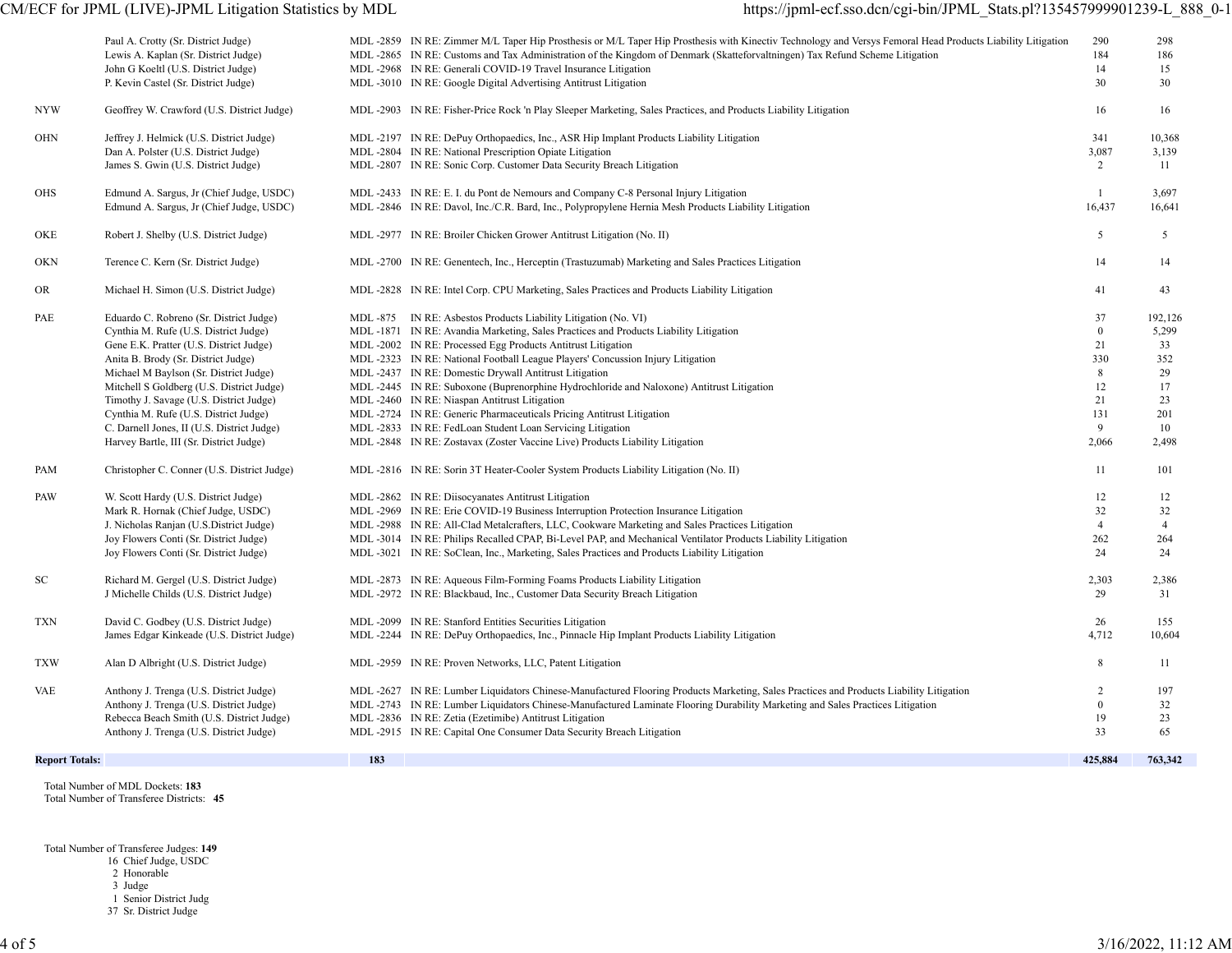# CM/ECF for JPML (LIVE)-JPML Litigation Statistics by MDL https://jpml-ecf.sso.dcn/cgi-bin/JPML\_Stats.pl?135457999901239-L\_888\_0-1

|                       | Paul A. Crotty (Sr. District Judge)<br>Lewis A. Kaplan (Sr. District Judge)<br>John G Koeltl (U.S. District Judge)<br>P. Kevin Castel (Sr. District Judge)                                                                                                                                                                                                                                                                             |     | MDL-2859 IN RE: Zimmer M/L Taper Hip Prosthesis or M/L Taper Hip Prosthesis with Kinectiv Technology and Versys Femoral Head Products Liability Litigation<br>MDL-2865 IN RE: Customs and Tax Administration of the Kingdom of Denmark (Skatteforvaltningen) Tax Refund Scheme Litigation<br>MDL -2968 IN RE: Generali COVID-19 Travel Insurance Litigation<br>MDL -3010 IN RE: Google Digital Advertising Antitrust Litigation                                                                                                                                                                                                                                                                                                         | 290<br>184<br>14<br>30                                                           | 298<br>186<br>15<br>30                                                |
|-----------------------|----------------------------------------------------------------------------------------------------------------------------------------------------------------------------------------------------------------------------------------------------------------------------------------------------------------------------------------------------------------------------------------------------------------------------------------|-----|-----------------------------------------------------------------------------------------------------------------------------------------------------------------------------------------------------------------------------------------------------------------------------------------------------------------------------------------------------------------------------------------------------------------------------------------------------------------------------------------------------------------------------------------------------------------------------------------------------------------------------------------------------------------------------------------------------------------------------------------|----------------------------------------------------------------------------------|-----------------------------------------------------------------------|
| NYW                   | Geoffrey W. Crawford (U.S. District Judge)                                                                                                                                                                                                                                                                                                                                                                                             |     | MDL-2903 IN RE: Fisher-Price Rock 'n Play Sleeper Marketing, Sales Practices, and Products Liability Litigation                                                                                                                                                                                                                                                                                                                                                                                                                                                                                                                                                                                                                         | 16                                                                               | 16                                                                    |
| <b>OHN</b>            | Jeffrey J. Helmick (U.S. District Judge)<br>Dan A. Polster (U.S. District Judge)<br>James S. Gwin (U.S. District Judge)                                                                                                                                                                                                                                                                                                                |     | MDL-2197 IN RE: DePuy Orthopaedics, Inc., ASR Hip Implant Products Liability Litigation<br>MDL -2804 IN RE: National Prescription Opiate Litigation<br>MDL -2807 IN RE: Sonic Corp. Customer Data Security Breach Litigation                                                                                                                                                                                                                                                                                                                                                                                                                                                                                                            | 341<br>3,087<br>2                                                                | 10,368<br>3,139<br>11                                                 |
| <b>OHS</b>            | Edmund A. Sargus, Jr (Chief Judge, USDC)<br>Edmund A. Sargus, Jr (Chief Judge, USDC)                                                                                                                                                                                                                                                                                                                                                   |     | MDL-2433 IN RE: E. I. du Pont de Nemours and Company C-8 Personal Injury Litigation<br>MDL -2846 IN RE: Davol, Inc./C.R. Bard, Inc., Polypropylene Hernia Mesh Products Liability Litigation                                                                                                                                                                                                                                                                                                                                                                                                                                                                                                                                            | $\mathbf{1}$<br>16,437                                                           | 3,697<br>16,641                                                       |
| OKE                   | Robert J. Shelby (U.S. District Judge)                                                                                                                                                                                                                                                                                                                                                                                                 |     | MDL -2977 IN RE: Broiler Chicken Grower Antitrust Litigation (No. II)                                                                                                                                                                                                                                                                                                                                                                                                                                                                                                                                                                                                                                                                   | 5                                                                                | 5                                                                     |
| OKN                   | Terence C. Kern (Sr. District Judge)                                                                                                                                                                                                                                                                                                                                                                                                   |     | MDL-2700 IN RE: Genentech, Inc., Herceptin (Trastuzumab) Marketing and Sales Practices Litigation                                                                                                                                                                                                                                                                                                                                                                                                                                                                                                                                                                                                                                       | 14                                                                               | 14                                                                    |
| OR                    | Michael H. Simon (U.S. District Judge)                                                                                                                                                                                                                                                                                                                                                                                                 |     | MDL-2828 IN RE: Intel Corp. CPU Marketing, Sales Practices and Products Liability Litigation                                                                                                                                                                                                                                                                                                                                                                                                                                                                                                                                                                                                                                            | 41                                                                               | 43                                                                    |
| PAE                   | Eduardo C. Robreno (Sr. District Judge)<br>Cynthia M. Rufe (U.S. District Judge)<br>Gene E.K. Pratter (U.S. District Judge)<br>Anita B. Brody (Sr. District Judge)<br>Michael M Baylson (Sr. District Judge)<br>Mitchell S Goldberg (U.S. District Judge)<br>Timothy J. Savage (U.S. District Judge)<br>Cynthia M. Rufe (U.S. District Judge)<br>C. Darnell Jones, II (U.S. District Judge)<br>Harvey Bartle, III (Sr. District Judge) |     | MDL-875 IN RE: Asbestos Products Liability Litigation (No. VI)<br>MDL-1871 IN RE: Avandia Marketing, Sales Practices and Products Liability Litigation<br>MDL-2002 IN RE: Processed Egg Products Antitrust Litigation<br>MDL -2323 IN RE: National Football League Players' Concussion Injury Litigation<br>MDL -2437 IN RE: Domestic Drywall Antitrust Litigation<br>MDL-2445 IN RE: Suboxone (Buprenorphine Hydrochloride and Naloxone) Antitrust Litigation<br>MDL -2460 IN RE: Niaspan Antitrust Litigation<br>MDL -2724 IN RE: Generic Pharmaceuticals Pricing Antitrust Litigation<br>MDL -2833 IN RE: FedLoan Student Loan Servicing Litigation<br>MDL -2848 IN RE: Zostavax (Zoster Vaccine Live) Products Liability Litigation | 37<br>$\mathbf{0}$<br>21<br>330<br>8<br>12<br>21<br>131<br>$\mathbf{Q}$<br>2,066 | 192,126<br>5,299<br>33<br>352<br>29<br>17<br>23<br>201<br>10<br>2,498 |
| PAM                   | Christopher C. Conner (U.S. District Judge)                                                                                                                                                                                                                                                                                                                                                                                            |     | MDL -2816 IN RE: Sorin 3T Heater-Cooler System Products Liability Litigation (No. II)                                                                                                                                                                                                                                                                                                                                                                                                                                                                                                                                                                                                                                                   | 11                                                                               | 101                                                                   |
| PAW                   | W. Scott Hardy (U.S. District Judge)<br>Mark R. Hornak (Chief Judge, USDC)<br>J. Nicholas Ranjan (U.S.District Judge)<br>Joy Flowers Conti (Sr. District Judge)<br>Joy Flowers Conti (Sr. District Judge)                                                                                                                                                                                                                              |     | MDL -2862 IN RE: Diisocyanates Antitrust Litigation<br>MDL-2969 IN RE: Erie COVID-19 Business Interruption Protection Insurance Litigation<br>MDL-2988 IN RE: All-Clad Metalcrafters, LLC, Cookware Marketing and Sales Practices Litigation<br>MDL-3014 IN RE: Philips Recalled CPAP, Bi-Level PAP, and Mechanical Ventilator Products Liability Litigation<br>MDL-3021 IN RE: SoClean, Inc., Marketing, Sales Practices and Products Liability Litigation                                                                                                                                                                                                                                                                             | 12<br>32<br>$\overline{4}$<br>262<br>24                                          | 12<br>32<br>$\overline{4}$<br>264<br>24                               |
| SC                    | Richard M. Gergel (U.S. District Judge)<br>J Michelle Childs (U.S. District Judge)                                                                                                                                                                                                                                                                                                                                                     |     | MDL -2873 IN RE: Aqueous Film-Forming Foams Products Liability Litigation<br>MDL -2972 IN RE: Blackbaud, Inc., Customer Data Security Breach Litigation                                                                                                                                                                                                                                                                                                                                                                                                                                                                                                                                                                                 | 2,303<br>29                                                                      | 2,386<br>31                                                           |
| <b>TXN</b>            | David C. Godbey (U.S. District Judge)<br>James Edgar Kinkeade (U.S. District Judge)                                                                                                                                                                                                                                                                                                                                                    |     | MDL -2099 IN RE: Stanford Entities Securities Litigation<br>MDL-2244 IN RE: DePuy Orthopaedics, Inc., Pinnacle Hip Implant Products Liability Litigation                                                                                                                                                                                                                                                                                                                                                                                                                                                                                                                                                                                | 26<br>4,712                                                                      | 155<br>10,604                                                         |
| <b>TXW</b>            | Alan D Albright (U.S. District Judge)                                                                                                                                                                                                                                                                                                                                                                                                  |     | MDL -2959 IN RE: Proven Networks, LLC, Patent Litigation                                                                                                                                                                                                                                                                                                                                                                                                                                                                                                                                                                                                                                                                                | 8                                                                                | 11                                                                    |
| <b>VAE</b>            | Anthony J. Trenga (U.S. District Judge)<br>Anthony J. Trenga (U.S. District Judge)<br>Rebecca Beach Smith (U.S. District Judge)<br>Anthony J. Trenga (U.S. District Judge)                                                                                                                                                                                                                                                             |     | MDL-2627 IN RE: Lumber Liquidators Chinese-Manufactured Flooring Products Marketing, Sales Practices and Products Liability Litigation<br>MDL-2743 IN RE: Lumber Liquidators Chinese-Manufactured Laminate Flooring Durability Marketing and Sales Practices Litigation<br>MDL -2836 IN RE: Zetia (Ezetimibe) Antitrust Litigation<br>MDL -2915 IN RE: Capital One Consumer Data Security Breach Litigation                                                                                                                                                                                                                                                                                                                             | $\overline{2}$<br>$\theta$<br>19<br>33                                           | 197<br>32<br>23<br>65                                                 |
| <b>Report Totals:</b> |                                                                                                                                                                                                                                                                                                                                                                                                                                        | 183 |                                                                                                                                                                                                                                                                                                                                                                                                                                                                                                                                                                                                                                                                                                                                         | 425,884                                                                          | 763,342                                                               |

 Total Number of MDL Dockets: **183** Total Number of Transferee Districts: **45**

Total Number of Transferee Judges: **149**

16 Chief Judge, USDC

2 Honorable

3 Judge

1 Senior District Judg

37 Sr. District Judge